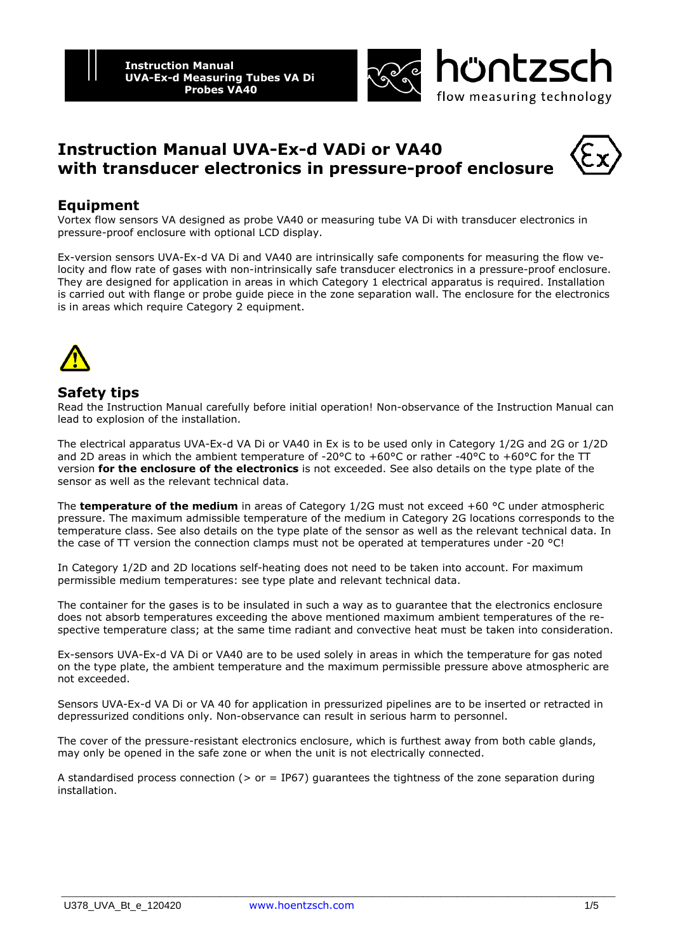



# **Instruction Manual UVA-Ex-d VADi or VA40 with transducer electronics in pressure-proof enclosure**

## **Equipment**

Vortex flow sensors VA designed as probe VA40 or measuring tube VA Di with transducer electronics in pressure-proof enclosure with optional LCD display.

Ex-version sensors UVA-Ex-d VA Di and VA40 are intrinsically safe components for measuring the flow velocity and flow rate of gases with non-intrinsically safe transducer electronics in a pressure-proof enclosure. They are designed for application in areas in which Category 1 electrical apparatus is required. Installation is carried out with flange or probe guide piece in the zone separation wall. The enclosure for the electronics is in areas which require Category 2 equipment.



#### **Safety tips**

Read the Instruction Manual carefully before initial operation! Non-observance of the Instruction Manual can lead to explosion of the installation.

The electrical apparatus UVA-Ex-d VA Di or VA40 in Ex is to be used only in Category 1/2G and 2G or 1/2D and 2D areas in which the ambient temperature of -20 $\degree$ C to +60 $\degree$ C or rather -40 $\degree$ C to +60 $\degree$ C for the TT version **for the enclosure of the electronics** is not exceeded. See also details on the type plate of the sensor as well as the relevant technical data.

The **temperature of the medium** in areas of Category 1/2G must not exceed +60 °C under atmospheric pressure. The maximum admissible temperature of the medium in Category 2G locations corresponds to the temperature class. See also details on the type plate of the sensor as well as the relevant technical data. In the case of TT version the connection clamps must not be operated at temperatures under -20 °C!

In Category 1/2D and 2D locations self-heating does not need to be taken into account. For maximum permissible medium temperatures: see type plate and relevant technical data.

The container for the gases is to be insulated in such a way as to guarantee that the electronics enclosure does not absorb temperatures exceeding the above mentioned maximum ambient temperatures of the respective temperature class; at the same time radiant and convective heat must be taken into consideration.

Ex-sensors UVA-Ex-d VA Di or VA40 are to be used solely in areas in which the temperature for gas noted on the type plate, the ambient temperature and the maximum permissible pressure above atmospheric are not exceeded.

Sensors UVA-Ex-d VA Di or VA 40 for application in pressurized pipelines are to be inserted or retracted in depressurized conditions only. Non-observance can result in serious harm to personnel.

The cover of the pressure-resistant electronics enclosure, which is furthest away from both cable glands, may only be opened in the safe zone or when the unit is not electrically connected.

A standardised process connection ( $>$  or = IP67) quarantees the tightness of the zone separation during installation.

\_\_\_\_\_\_\_\_\_\_\_\_\_\_\_\_\_\_\_\_\_\_\_\_\_\_\_\_\_\_\_\_\_\_\_\_\_\_\_\_\_\_\_\_\_\_\_\_\_\_\_\_\_\_\_\_\_\_\_\_\_\_\_\_\_\_\_\_\_\_\_\_\_\_\_\_\_\_\_\_\_\_\_\_\_\_\_\_\_\_\_\_\_\_\_\_\_\_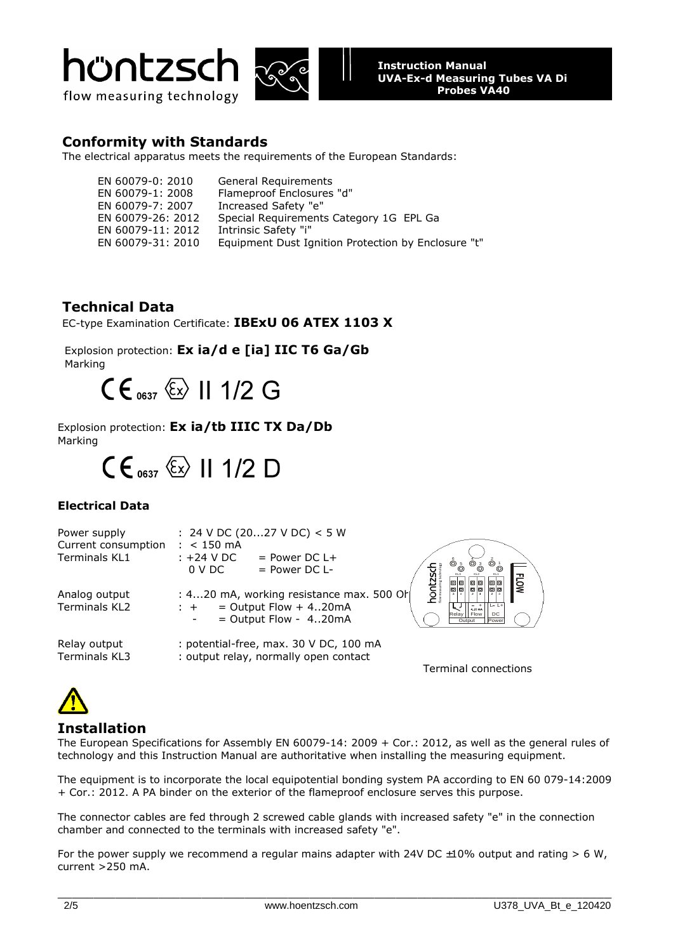





### **Conformity with Standards**

The electrical apparatus meets the requirements of the European Standards:

| EN 60079-0: 2010  | <b>General Requirements</b>                         |
|-------------------|-----------------------------------------------------|
| EN 60079-1: 2008  | Flameproof Enclosures "d"                           |
| EN 60079-7: 2007  | Increased Safety "e"                                |
| EN 60079-26: 2012 | Special Requirements Category 1G EPL Ga             |
| EN 60079-11: 2012 | Intrinsic Safety "i"                                |
| EN 60079-31: 2010 | Equipment Dust Ignition Protection by Enclosure "t" |

## **Technical Data**

EC-type Examination Certificate: **IBExU 06 ATEX 1103 X**

 Explosion protection: **Ex ia/d e [ia] IIC T6 Ga/Gb** Marking

 $CE_{0.637}$   $\langle \overline{\xi_x} \rangle$  11 1/2 G

Explosion protection: **Ex ia/tb IIIC TX Da/Db** Marking

 $CE_{0637}$   $\&$  II 1/2 D

### **Electrical Data**

| Power supply<br>Current consumption<br><b>Terminals KL1</b> | : 24 V DC (2027 V DC) < 5 W<br>$: < 150 \text{ mA}$<br>:+24 V DC<br>$=$ Power DC L+<br><sup>ම</sup> ල<br>$^{\circ}$ $^{\circ}_{\mathring{\mathbb{C}}}$<br>$=$ Power DC L-<br>$0 \vee D$ C<br><b>FLOW</b><br>00<br>◙<br><u>  ල</u> |
|-------------------------------------------------------------|-----------------------------------------------------------------------------------------------------------------------------------------------------------------------------------------------------------------------------------|
| Analog output<br>Terminals KL2                              | o  o<br>ō<br> ⊡<br>: $420$ mA, working resistance max. 500 Or<br>$=$ Output Flow $+$ 420mA<br>$L - L +$<br>$: +$<br>$- +$<br>4.20 mA<br>I Flow<br>DC<br>Relay  <br>$=$ Output Flow - 420mA<br>Power<br>Output                     |
| Relay output<br>Terminals KL3                               | : potential-free, max. 30 V DC, 100 mA<br>: output relay, normally open contact                                                                                                                                                   |

Terminal connections

## **Installation**

The European Specifications for Assembly EN 60079-14: 2009 + Cor.: 2012, as well as the general rules of technology and this Instruction Manual are authoritative when installing the measuring equipment.

The equipment is to incorporate the local equipotential bonding system PA according to EN 60 079-14:2009 + Cor.: 2012. A PA binder on the exterior of the flameproof enclosure serves this purpose.

The connector cables are fed through 2 screwed cable glands with increased safety "e" in the connection chamber and connected to the terminals with increased safety "e".

For the power supply we recommend a regular mains adapter with 24V DC  $\pm 10\%$  output and rating > 6 W, current >250 mA.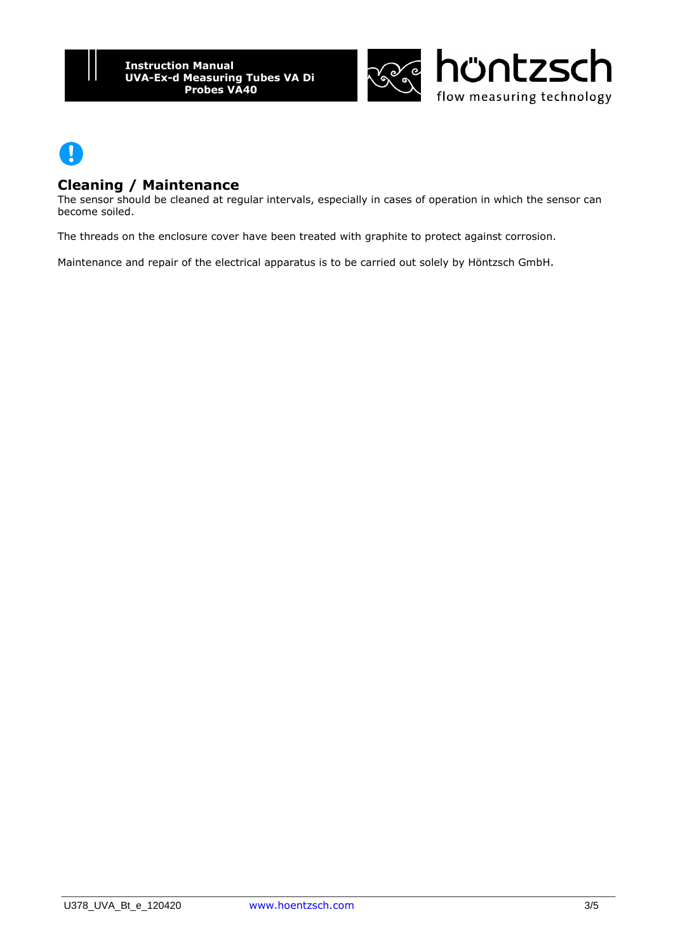



#### **Cleaning / Maintenance**

The sensor should be cleaned at regular intervals, especially in cases of operation in which the sensor can become soiled.

The threads on the enclosure cover have been treated with graphite to protect against corrosion.

Maintenance and repair of the electrical apparatus is to be carried out solely by Höntzsch GmbH.

\_\_\_\_\_\_\_\_\_\_\_\_\_\_\_\_\_\_\_\_\_\_\_\_\_\_\_\_\_\_\_\_\_\_\_\_\_\_\_\_\_\_\_\_\_\_\_\_\_\_\_\_\_\_\_\_\_\_\_\_\_\_\_\_\_\_\_\_\_\_\_\_\_\_\_\_\_\_\_\_\_\_\_\_\_\_\_\_\_\_\_\_\_\_\_\_\_\_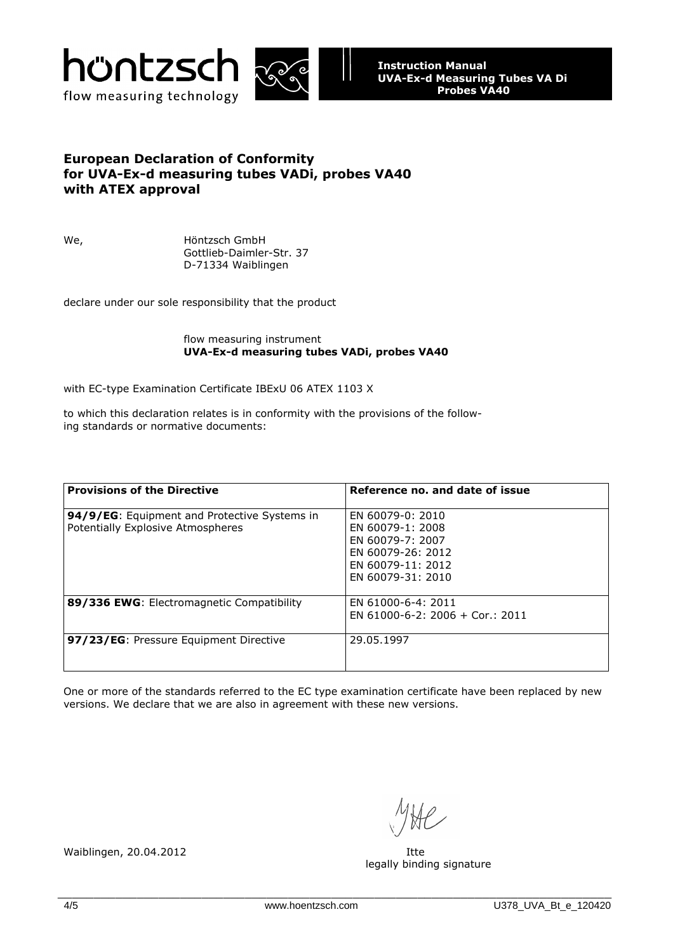



#### **European Declaration of Conformity for UVA-Ex-d measuring tubes VADi, probes VA40 with ATEX approval**

We, Höntzsch GmbH Gottlieb-Daimler-Str. 37 D-71334 Waiblingen

declare under our sole responsibility that the product

#### flow measuring instrument  **UVA-Ex-d measuring tubes VADi, probes VA40**

with EC-type Examination Certificate IBExU 06 ATEX 1103 X

to which this declaration relates is in conformity with the provisions of the following standards or normative documents:

| <b>Provisions of the Directive</b>                                                | Reference no. and date of issue                                                                                         |
|-----------------------------------------------------------------------------------|-------------------------------------------------------------------------------------------------------------------------|
| 94/9/EG: Equipment and Protective Systems in<br>Potentially Explosive Atmospheres | EN 60079-0: 2010<br>FN 60079-1: 2008<br>EN 60079-7: 2007<br>FN 60079-26: 2012<br>FN 60079-11: 2012<br>EN 60079-31: 2010 |
| 89/336 EWG: Electromagnetic Compatibility                                         | EN 61000-6-4: 2011<br>$FN$ 61000-6-2: 2006 + Cor.: 2011                                                                 |
| 97/23/EG: Pressure Equipment Directive                                            | 29.05.1997                                                                                                              |

One or more of the standards referred to the EC type examination certificate have been replaced by new versions. We declare that we are also in agreement with these new versions.

legally binding signature

Waiblingen, 20.04.2012 **Itte**